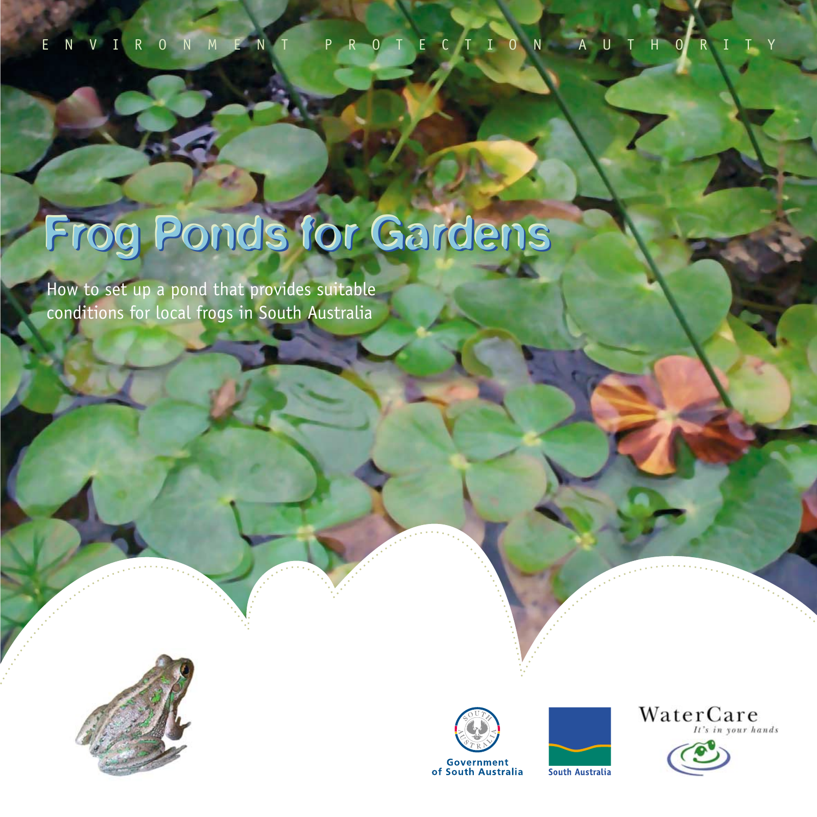ENVIRONMENT PROTECTION AUTHORITY

# Frog Ponds for Gardens

How to set up a pond that provides suitable conditions for local frogs in South Australia







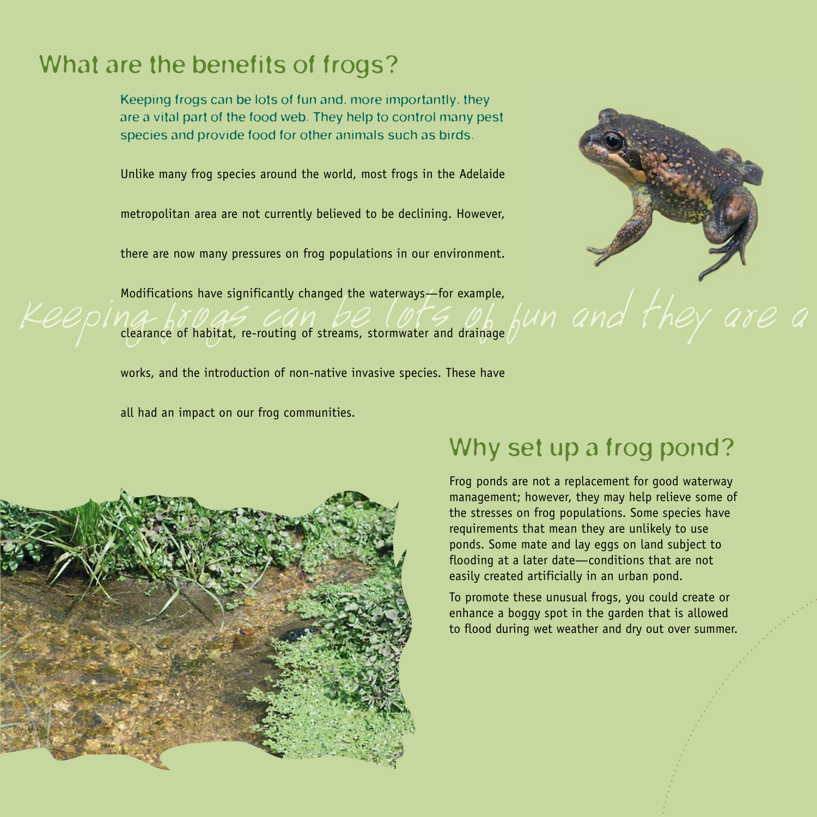## What are the benefits of frogs?

Keeping frogs can be lots of fun and, more importantly, they are a vital part of the food web. They help to control many pest species and provide food for other animals such as birds.

Unlike many frog species around the world, most frogs in the Adelaide Unlike many frog species around the world, most frogs in the Adelaide

metropolitan area are not currently believed to be declining. However,

there are now many pressures on free populations in our one there are now many pressures on frog populations in our environment.

Modifications have significantly changed the waterways—for example,

clearance of habitat, re-routing of streams, stormwater and drainage

works, and the introduction of non-native invasive species. These have

all had an impact on our frog communities.



## Why set up a frog pond?

Frog ponds are not a replacement for good waterway management; however, they may help relieve some of the stresses on frog populations. Some species have requirements that mean they are unlikely to use ponds. Some mate and lay eggs on land subject to flooding at a later date—conditions that are not easily created artificially in an urban pond.

To promote these unusual frogs, you could create or enhance a boggy spot in the garden that is allowed to flood during wet weather and dry out over summer.

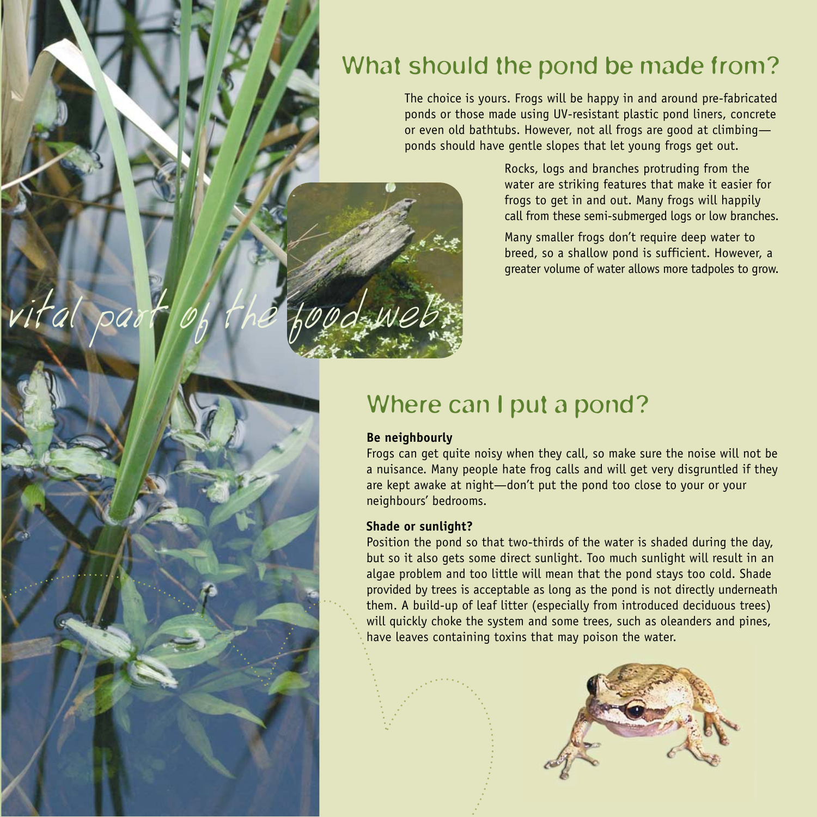## What should the pond be made from?

The choice is yours. Frogs will be happy in and around pre-fabricated ponds or those made using UV-resistant plastic pond liners, concrete or even old bathtubs. However, not all frogs are good at climbing ponds should have gentle slopes that let young frogs get out.

> Rocks, logs and branches protruding from the water are striking features that make it easier for frogs to get in and out. Many frogs will happily call from these semi-submerged logs or low branches.

> Many smaller frogs don't require deep water to breed, so a shallow pond is sufficient. However, a greater volume of water allows more tadpoles to grow.

## Where can I put a pond?

#### **Be neighbourly**

vital pa

Frogs can get quite noisy when they call, so make sure the noise will not be a nuisance. Many people hate frog calls and will get very disgruntled if they are kept awake at night—don't put the pond too close to your or your neighbours' bedrooms.

#### **Shade or sunlight?**

Position the pond so that two-thirds of the water is shaded during the day, but so it also gets some direct sunlight. Too much sunlight will result in an algae problem and too little will mean that the pond stays too cold. Shade provided by trees is acceptable as long as the pond is not directly underneath them. A build-up of leaf litter (especially from introduced deciduous trees) will quickly choke the system and some trees, such as oleanders and pines, have leaves containing toxins that may poison the water.

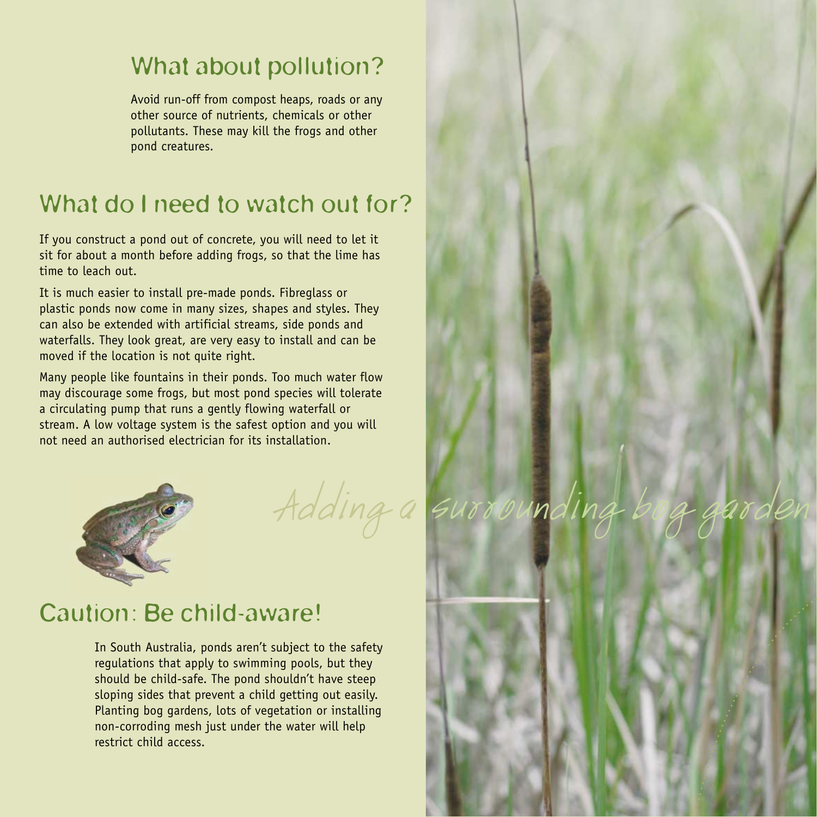## What about pollution?

Avoid run-off from compost heaps, roads or any other source of nutrients, chemicals or other pollutants. These may kill the frogs and other pond creatures.

## What do I need to watch out for?

If you construct a pond out of concrete, you will need to let it sit for about a month before adding frogs, so that the lime has time to leach out.

It is much easier to install pre-made ponds. Fibreglass or plastic ponds now come in many sizes, shapes and styles. They can also be extended with artificial streams, side ponds and waterfalls. They look great, are very easy to install and can be moved if the location is not quite right.

Many people like fountains in their ponds. Too much water flow may discourage some frogs, but most pond species will tolerate a circulating pump that runs a gently flowing waterfall or stream. A low voltage system is the safest option and you will not need an authorised electrician for its installation.



Adding a surro

## Caution: Be child-aware!

In South Australia, ponds aren't subject to the safety regulations that apply to swimming pools, but they should be child-safe. The pond shouldn't have steep sloping sides that prevent a child getting out easily. Planting bog gardens, lots of vegetation or installing non-corroding mesh just under the water will help restrict child access.

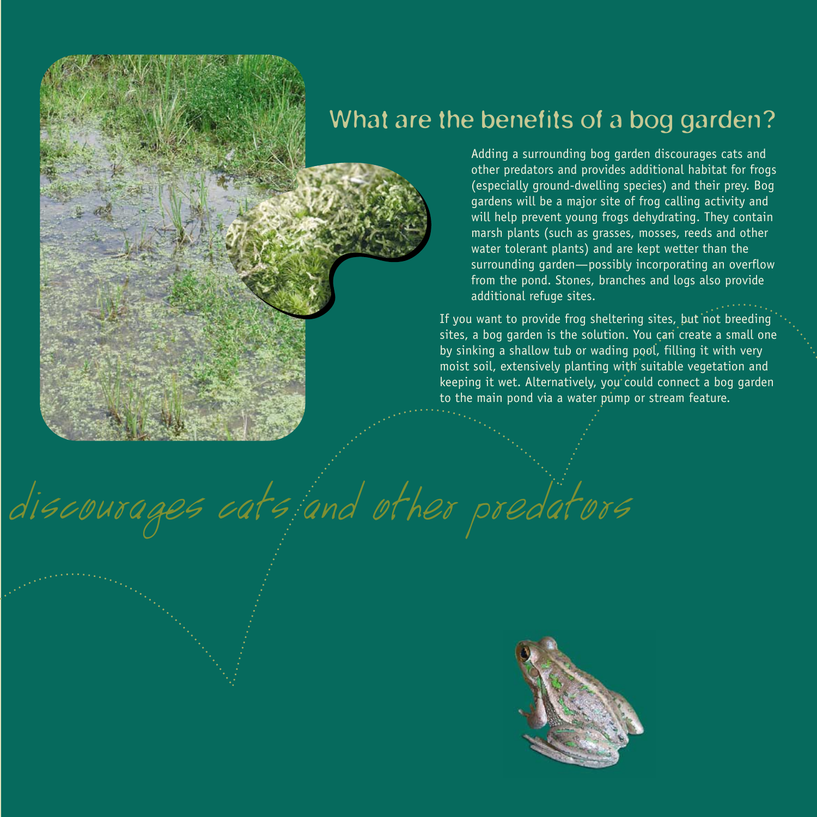## What are the benefits of a bog garden?

Adding a surrounding bog garden discourages cats and other predators and provides additional habitat for frogs (especially ground-dwelling species) and their prey. Bog gardens will be a major site of frog calling activity and will help prevent young frogs dehydrating. They contain marsh plants (such as grasses, mosses, reeds and other water tolerant plants) and are kept wetter than the surrounding garden—possibly incorporating an overflow from the pond. Stones, branches and logs also provide additional refuge sites.

If you want to provide frog sheltering sites, but not breeding sites, a bog garden is the solution. You can create a small one by sinking a shallow tub or wading pool, filling it with very moist soil, extensively planting with suitable vegetation and keeping it wet. Alternatively, you could connect a bog garden to the main pond via a water pump or stream feature.

discourages cats and other predators

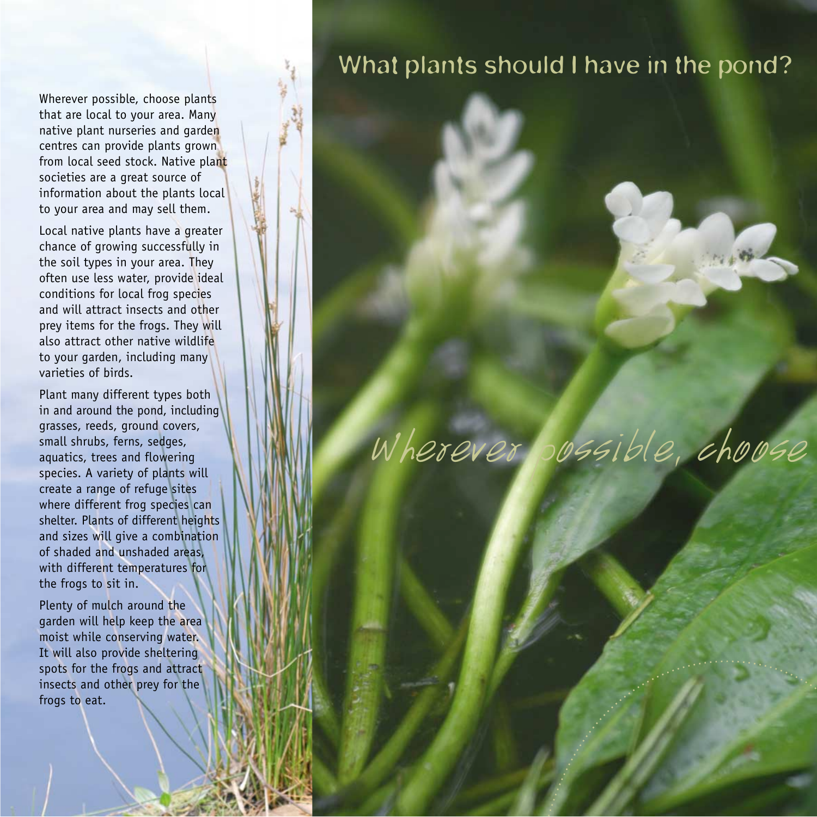Wherever possible, choose plants that are local to your area. Many native plant nurseries and garden centres can provide plants grown from local seed stock. Native plant societies are a great source of information about the plants local to your area and may sell them.

Local native plants have a greater chance of growing successfully in the soil types in your area. They often use less water, provide ideal conditions for local frog species and will attract insects and other prey items for the frogs. They will also attract other native wildlife to your garden, including many varieties of birds.

Plant many different types both in and around the pond, including grasses, reeds, ground covers, small shrubs, ferns, sedges, aquatics, trees and flowering species. A variety of plants will create a range of refuge sites where different frog species can shelter. Plants of different heights and sizes will give a combination of shaded and unshaded areas, with different temperatures for the frogs to sit in.

Plenty of mulch around the garden will help keep the area moist while conserving water. It will also provide sheltering spots for the frogs and attract insects and other prey for the frogs to eat.

## What plants should I have in the pond?

## Wherever possible, choose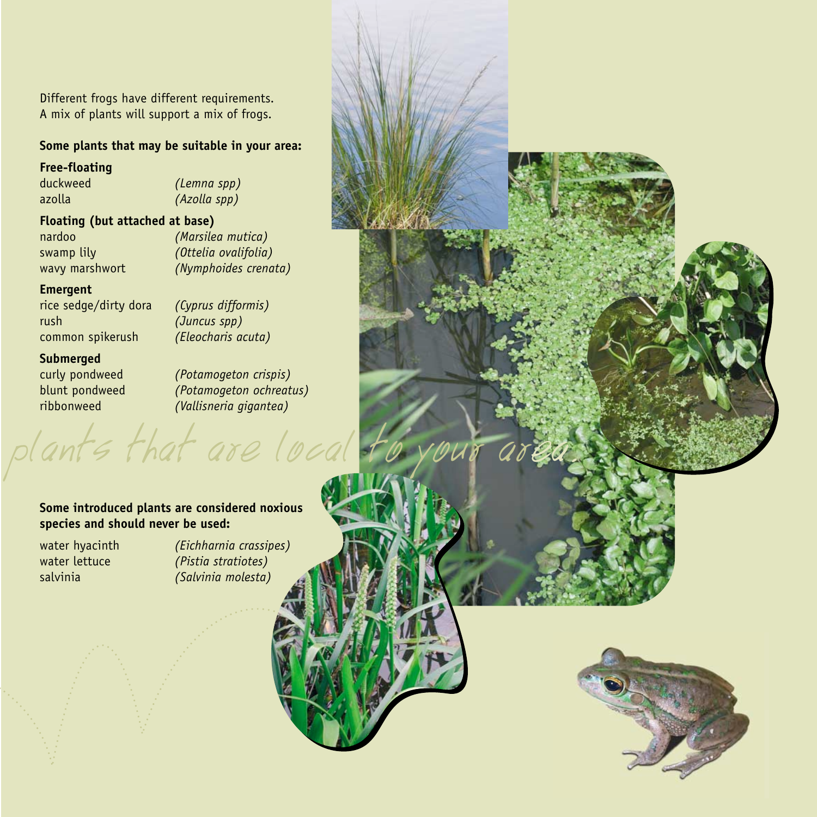Different frogs have different requirements. A mix of plants will support a mix of frogs.

#### **Some plants that may be suitable in your area:**

#### **Free-floating**

azolla *(Azolla spp)*  duckweed

*(Lemna spp)* 

#### **Floating (but attached at base)**

swamp lily nardoo wavy marshwort *(Marsilea mutica) (Nymphoides crenata) (Ottelia ovalifolia)* 

#### **Emergent**

rush *(Juncus spp)*  rice sedge/dirty dora *(Cyprus difformis)*  common spikerush

*(Eleocharis acuta)* 

#### **Submerged**

curly pondweed *(Potamogeton crispis)*  blunt pondweed *(Potamogeton ochreatus)*  ribbonweed *(Vallisneria gigantea)* 

#### **Some introduced plants are considered noxious species and should never be used:**

plants that are loca

water hyacinth water lettuce salvinia

*(Eichharnia crassipes) (Pistia stratiotes) (Salvinia molesta)* 

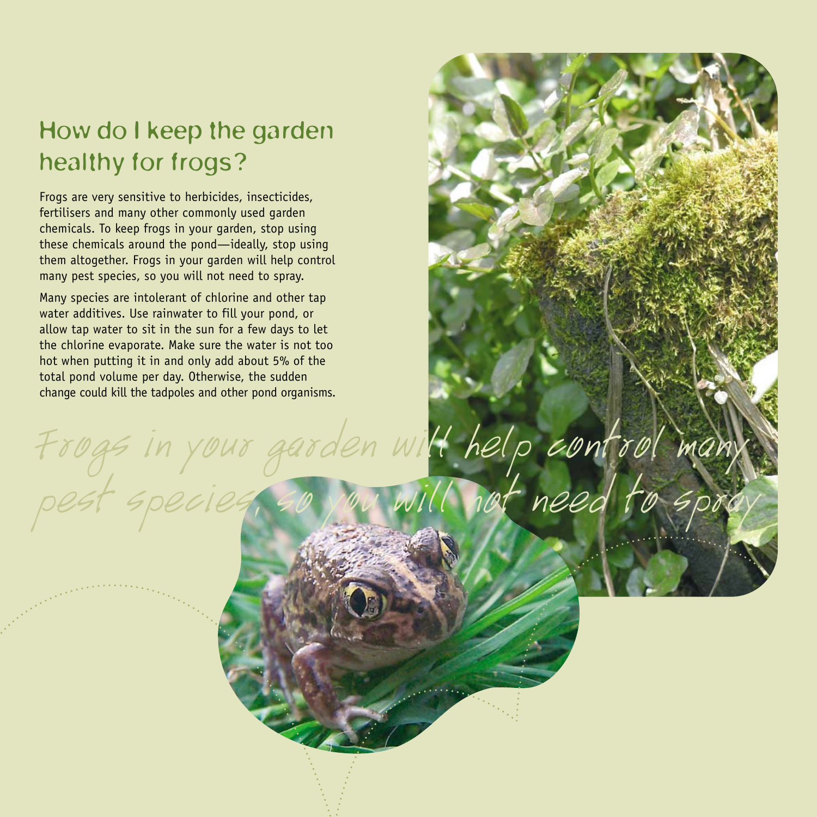## healthy for frogs? How do I keep the garden

Frogs are very sensitive to herbicides, insecticides, fertilisers and many other commonly used garden chemicals. To keep frogs in your garden, stop using these chemicals around the pond—ideally, stop using them altogether. Frogs in your garden will help control many pest species, so you will not need to spray.

Many species are intolerant of chlorine and other tap water additives. Use rainwater to fill your pond, or allow tap water to sit in the sun for a few days to let the chlorine evaporate. Make sure the water is not too hot when putting it in and only add about 5% of the total pond volume per day. Otherwise, the sudden change could kill the tadpoles and other pond organisms.

Frogs in your garden will help control many pest species, so you will not need to spray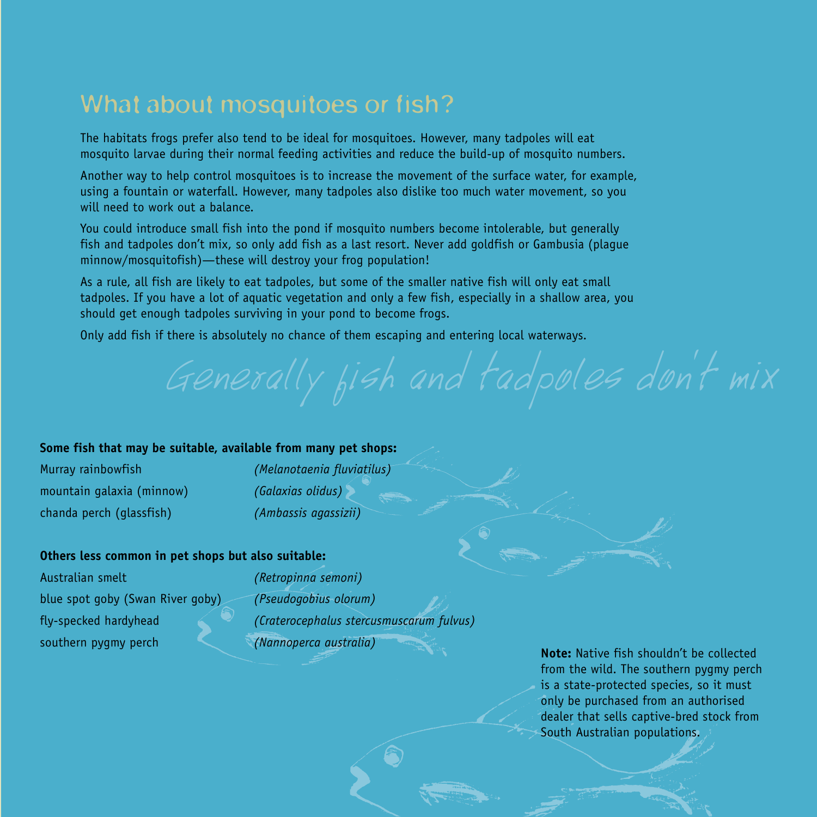## What about mosquitoes or fish?

The habitats frogs prefer also tend to be ideal for mosquitoes. However, many tadpoles will eat mosquito larvae during their normal feeding activities and reduce the build-up of mosquito numbers.

Another way to help control mosquitoes is to increase the movement of the surface water, for example, using a fountain or waterfall. However, many tadpoles also dislike too much water movement, so you will need to work out a balance.

You could introduce small fish into the pond if mosquito numbers become intolerable, but generally fish and tadpoles don't mix, so only add fish as a last resort. Never add goldfish or Gambusia (plague minnow/mosquitofish)—these will destroy your frog population!

As a rule, all fish are likely to eat tadpoles, but some of the smaller native fish will only eat small tadpoles. If you have a lot of aquatic vegetation and only a few fish, especially in a shallow area, you should get enough tadpoles surviving in your pond to become frogs.

Only add fish if there is absolutely no chance of them escaping and entering local waterways.

# gir taupoles surviving in your point to become riogs.<br>there is absolutely no chance of them escaping and entering local waterways.<br>Generally fish and  $\frac{1}{2}$  and  $\frac{1}{2}$  and  $\frac{1}{2}$  and  $\frac{1}{2}$  and  $\frac{1}{2}$  and

#### **Some fish that may be suitable, available from many pet shops:**

| Murray rainbowfish        |
|---------------------------|
| mountain galaxia (minnow) |
| chanda perch (glassfish)  |

*(Melanotaenia fluviatilus) (Galaxias olidus) (Ambassis agassizii)* 

#### **Others less common in pet shops but also suitable:**

| Australian smelt                 | (Retropinna semoni)                      |
|----------------------------------|------------------------------------------|
| blue spot goby (Swan River goby) | (Pseudogobius olorum)                    |
| fly-specked hardyhead            | (Craterocephalus stercusmuscarum fulvus) |
| southern pygmy perch             | (Nannoperca australia)                   |

**Note:** Native fish shouldn't be collected from the wild. The southern pygmy perch is a state-protected species, so it must only be purchased from an authorised dealer that sells captive-bred stock from South Australian populations.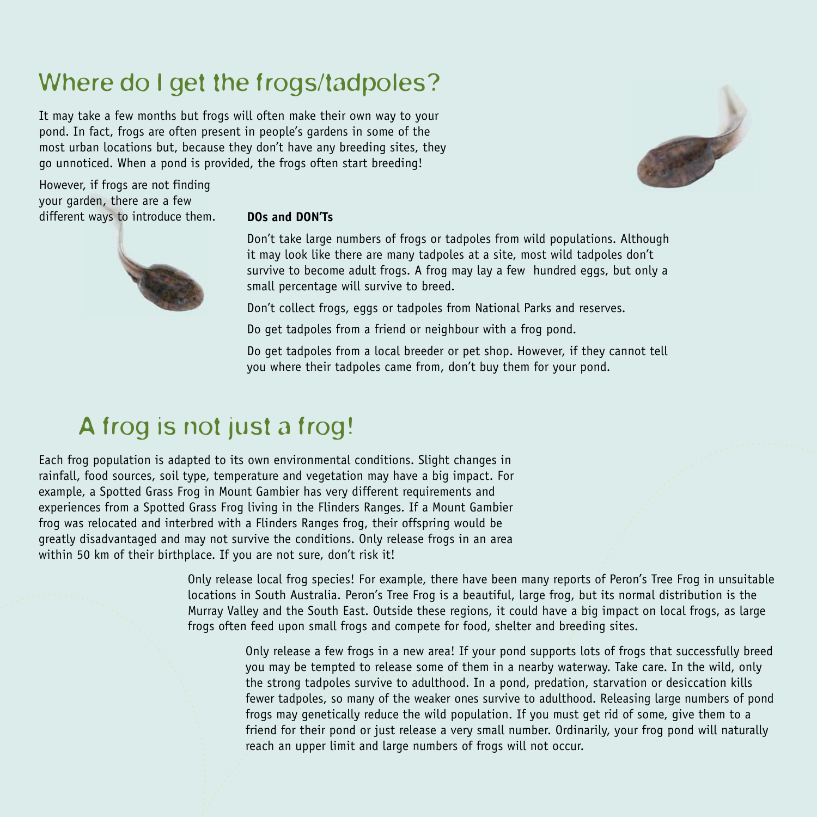## Where do I get the frogs/tadpoles?

It may take a few months but frogs will often make their own way to your pond. In fact, frogs are often present in people's gardens in some of the most urban locations but, because they don't have any breeding sites, they go unnoticed. When a pond is provided, the frogs often start breeding!



However, if frogs are not finding your garden, there are a few different ways to introduce them. **DOs and DON'Ts** 



Don't take large numbers of frogs or tadpoles from wild populations. Although it may look like there are many tadpoles at a site, most wild tadpoles don't survive to become adult frogs. A frog may lay a few hundred eggs, but only a small percentage will survive to breed.

Don't collect frogs, eggs or tadpoles from National Parks and reserves.

Do get tadpoles from a friend or neighbour with a frog pond.

Do get tadpoles from a local breeder or pet shop. However, if they cannot tell you where their tadpoles came from, don't buy them for your pond.

## A frog is not just a frog!

Each frog population is adapted to its own environmental conditions. Slight changes in rainfall, food sources, soil type, temperature and vegetation may have a big impact. For example, a Spotted Grass Frog in Mount Gambier has very different requirements and experiences from a Spotted Grass Frog living in the Flinders Ranges. If a Mount Gambier frog was relocated and interbred with a Flinders Ranges frog, their offspring would be greatly disadvantaged and may not survive the conditions. Only release frogs in an area within 50 km of their birthplace. If you are not sure, don't risk it!

> Only release local frog species! For example, there have been many reports of Peron's Tree Frog in unsuitable locations in South Australia. Peron's Tree Frog is a beautiful, large frog, but its normal distribution is the Murray Valley and the South East. Outside these regions, it could have a big impact on local frogs, as large frogs often feed upon small frogs and compete for food, shelter and breeding sites.

Only release a few frogs in a new area! If your pond supports lots of frogs that successfully breed you may be tempted to release some of them in a nearby waterway. Take care. In the wild, only the strong tadpoles survive to adulthood. In a pond, predation, starvation or desiccation kills fewer tadpoles, so many of the weaker ones survive to adulthood. Releasing large numbers of pond frogs may genetically reduce the wild population. If you must get rid of some, give them to a friend for their pond or just release a very small number. Ordinarily, your frog pond will naturally reach an upper limit and large numbers of frogs will not occur.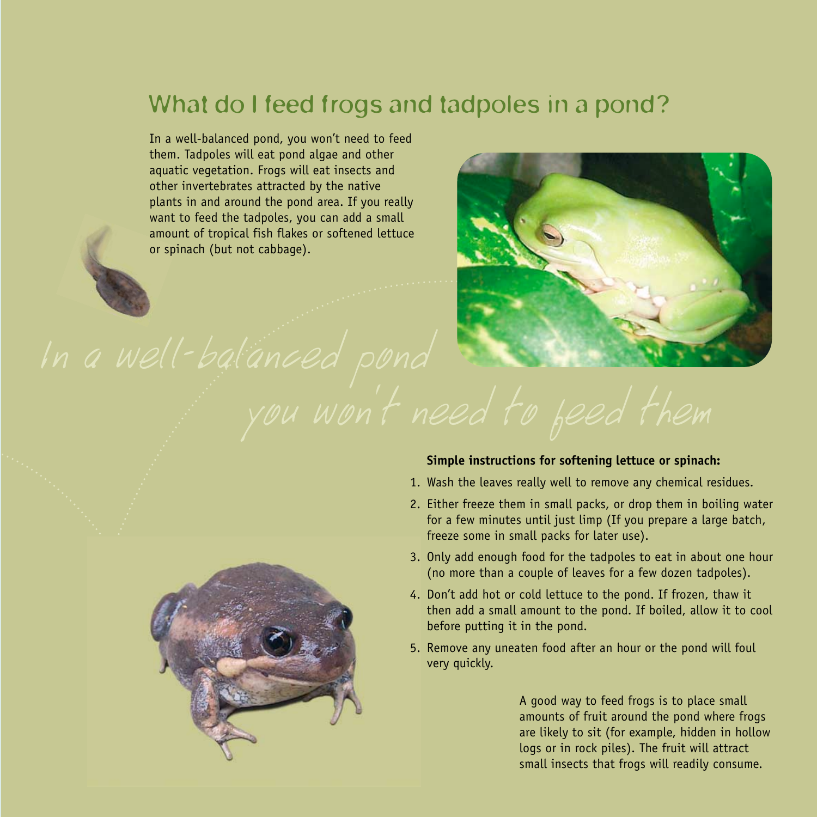## What do I feed frogs and tadpoles in a pond?

In a well-balanced pond, you won't need to feed them. Tadpoles will eat pond algae and other aquatic vegetation. Frogs will eat insects and other invertebrates attracted by the native plants in and around the pond area. If you really want to feed the tadpoles, you can add a small amount of tropical fish flakes or softened lettuce or spinach (but not cabbage).



#### **Simple instructions for softening lettuce or spinach:**

- 1. Wash the leaves really well to remove any chemical residues.
- 2. Either freeze them in small packs, or drop them in boiling water for a few minutes until just limp (If you prepare a large batch, freeze some in small packs for later use).
- 3. Only add enough food for the tadpoles to eat in about one hour (no more than a couple of leaves for a few dozen tadpoles).
- 4. Don't add hot or cold lettuce to the pond. If frozen, thaw it then add a small amount to the pond. If boiled, allow it to cool before putting it in the pond.
- 5. Remove any uneaten food after an hour or the pond will foul very quickly.

A good way to feed frogs is to place small amounts of fruit around the pond where frogs are likely to sit (for example, hidden in hollow logs or in rock piles). The fruit will attract small insects that frogs will readily consume.